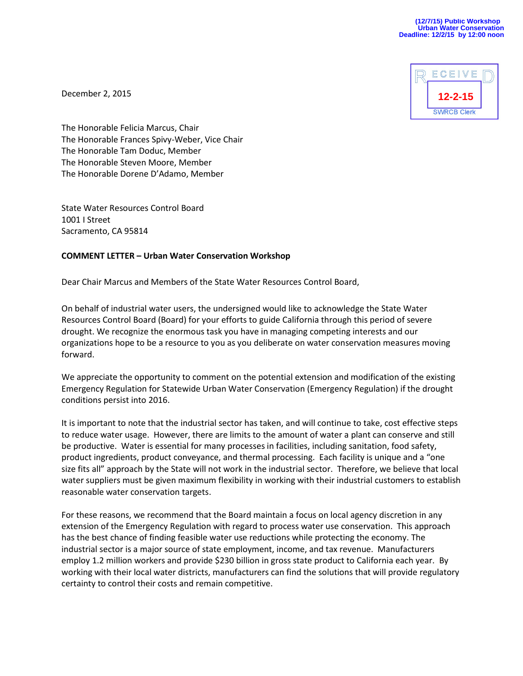

December 2, 2015

The Honorable Felicia Marcus, Chair The Honorable Frances Spivy-Weber, Vice Chair The Honorable Tam Doduc, Member The Honorable Steven Moore, Member The Honorable Dorene D'Adamo, Member

State Water Resources Control Board 1001 I Street Sacramento, CA 95814

## **COMMENT LETTER – Urban Water Conservation Workshop**

Dear Chair Marcus and Members of the State Water Resources Control Board,

On behalf of industrial water users, the undersigned would like to acknowledge the State Water Resources Control Board (Board) for your efforts to guide California through this period of severe drought. We recognize the enormous task you have in managing competing interests and our organizations hope to be a resource to you as you deliberate on water conservation measures moving forward.

We appreciate the opportunity to comment on the potential extension and modification of the existing Emergency Regulation for Statewide Urban Water Conservation (Emergency Regulation) if the drought conditions persist into 2016.

It is important to note that the industrial sector has taken, and will continue to take, cost effective steps to reduce water usage. However, there are limits to the amount of water a plant can conserve and still be productive. Water is essential for many processes in facilities, including sanitation, food safety, product ingredients, product conveyance, and thermal processing. Each facility is unique and a "one size fits all" approach by the State will not work in the industrial sector. Therefore, we believe that local water suppliers must be given maximum flexibility in working with their industrial customers to establish reasonable water conservation targets.

For these reasons, we recommend that the Board maintain a focus on local agency discretion in any extension of the Emergency Regulation with regard to process water use conservation. This approach has the best chance of finding feasible water use reductions while protecting the economy. The industrial sector is a major source of state employment, income, and tax revenue. Manufacturers employ 1.2 million workers and provide \$230 billion in gross state product to California each year. By working with their local water districts, manufacturers can find the solutions that will provide regulatory certainty to control their costs and remain competitive.